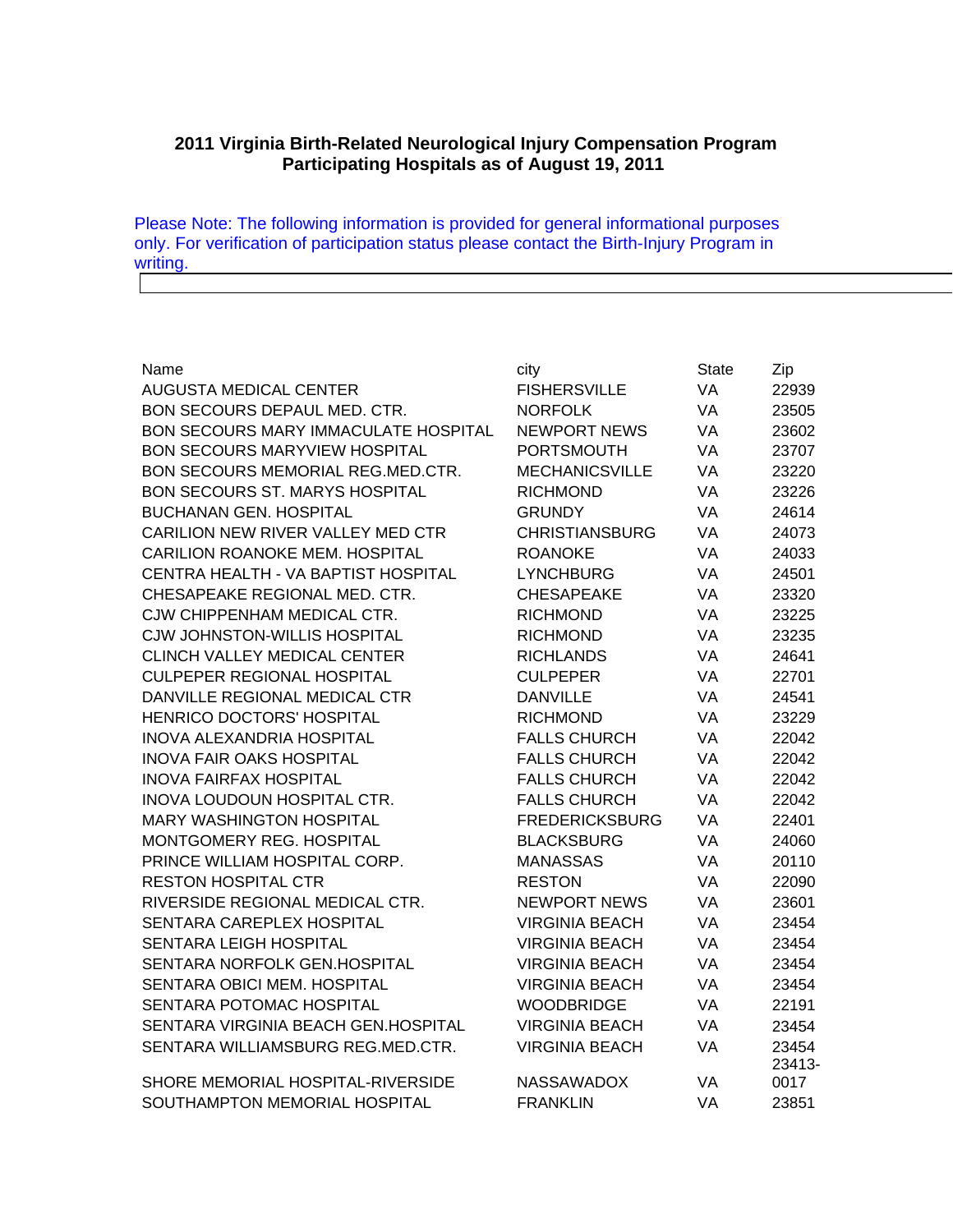## **2011 Virginia Birth-Related Neurological Injury Compensation Program Participating Hospitals as of August 19, 2011**

Please Note: The following information is provided for general informational purposes only. For verification of participation status please contact the Birth-Injury Program in writing. The contract of the contract of the contract of the contract of the contract of the contract of the contract of the contract of the contract of the contract of the contract of the contract of the contract of the c <u> 1980 - Johann Stoff, deutscher Stoff, der Stoff, deutscher Stoff, der Stoff, der Stoff, der Stoff, der Stoff</u>

| Name                                     | city                  | <b>State</b> | Zip    |
|------------------------------------------|-----------------------|--------------|--------|
| <b>AUGUSTA MEDICAL CENTER</b>            | <b>FISHERSVILLE</b>   | VA           | 22939  |
| BON SECOURS DEPAUL MED. CTR.             | <b>NORFOLK</b>        | VA           | 23505  |
| BON SECOURS MARY IMMACULATE HOSPITAL     | <b>NEWPORT NEWS</b>   | VA           | 23602  |
| <b>BON SECOURS MARYVIEW HOSPITAL</b>     | <b>PORTSMOUTH</b>     | VA           | 23707  |
| <b>BON SECOURS MEMORIAL REG.MED.CTR.</b> | <b>MECHANICSVILLE</b> | <b>VA</b>    | 23220  |
| <b>BON SECOURS ST. MARYS HOSPITAL</b>    | <b>RICHMOND</b>       | VA           | 23226  |
| <b>BUCHANAN GEN. HOSPITAL</b>            | <b>GRUNDY</b>         | VA           | 24614  |
| CARILION NEW RIVER VALLEY MED CTR        | <b>CHRISTIANSBURG</b> | <b>VA</b>    | 24073  |
| CARILION ROANOKE MEM. HOSPITAL           | <b>ROANOKE</b>        | VA           | 24033  |
| CENTRA HEALTH - VA BAPTIST HOSPITAL      | <b>LYNCHBURG</b>      | VA           | 24501  |
| CHESAPEAKE REGIONAL MED. CTR.            | <b>CHESAPEAKE</b>     | <b>VA</b>    | 23320  |
| CJW CHIPPENHAM MEDICAL CTR.              | <b>RICHMOND</b>       | VA           | 23225  |
| <b>CJW JOHNSTON-WILLIS HOSPITAL</b>      | <b>RICHMOND</b>       | VA           | 23235  |
| <b>CLINCH VALLEY MEDICAL CENTER</b>      | <b>RICHLANDS</b>      | <b>VA</b>    | 24641  |
| <b>CULPEPER REGIONAL HOSPITAL</b>        | <b>CULPEPER</b>       | <b>VA</b>    | 22701  |
| DANVILLE REGIONAL MEDICAL CTR            | <b>DANVILLE</b>       | <b>VA</b>    | 24541  |
| <b>HENRICO DOCTORS' HOSPITAL</b>         | <b>RICHMOND</b>       | <b>VA</b>    | 23229  |
| <b>INOVA ALEXANDRIA HOSPITAL</b>         | <b>FALLS CHURCH</b>   | <b>VA</b>    | 22042  |
| <b>INOVA FAIR OAKS HOSPITAL</b>          | <b>FALLS CHURCH</b>   | VA           | 22042  |
| <b>INOVA FAIRFAX HOSPITAL</b>            | <b>FALLS CHURCH</b>   | <b>VA</b>    | 22042  |
| INOVA LOUDOUN HOSPITAL CTR.              | <b>FALLS CHURCH</b>   | <b>VA</b>    | 22042  |
| MARY WASHINGTON HOSPITAL                 | <b>FREDERICKSBURG</b> | VA           | 22401  |
| MONTGOMERY REG. HOSPITAL                 | <b>BLACKSBURG</b>     | VA           | 24060  |
| PRINCE WILLIAM HOSPITAL CORP.            | <b>MANASSAS</b>       | VA           | 20110  |
| <b>RESTON HOSPITAL CTR</b>               | <b>RESTON</b>         | VA           | 22090  |
| RIVERSIDE REGIONAL MEDICAL CTR.          | <b>NEWPORT NEWS</b>   | VA           | 23601  |
| SENTARA CAREPLEX HOSPITAL                | <b>VIRGINIA BEACH</b> | VA           | 23454  |
| SENTARA LEIGH HOSPITAL                   | <b>VIRGINIA BEACH</b> | <b>VA</b>    | 23454  |
| SENTARA NORFOLK GEN.HOSPITAL             | <b>VIRGINIA BEACH</b> | VA           | 23454  |
| SENTARA OBICI MEM. HOSPITAL              | <b>VIRGINIA BEACH</b> | VA           | 23454  |
| SENTARA POTOMAC HOSPITAL                 | <b>WOODBRIDGE</b>     | VA           | 22191  |
| SENTARA VIRGINIA BEACH GEN.HOSPITAL      | <b>VIRGINIA BEACH</b> | VA           | 23454  |
| SENTARA WILLIAMSBURG REG.MED.CTR.        | <b>VIRGINIA BEACH</b> | VA           | 23454  |
|                                          |                       |              | 23413- |
| SHORE MEMORIAL HOSPITAL-RIVERSIDE        | <b>NASSAWADOX</b>     | <b>VA</b>    | 0017   |
| SOUTHAMPTON MEMORIAL HOSPITAL            | <b>FRANKLIN</b>       | <b>VA</b>    | 23851  |